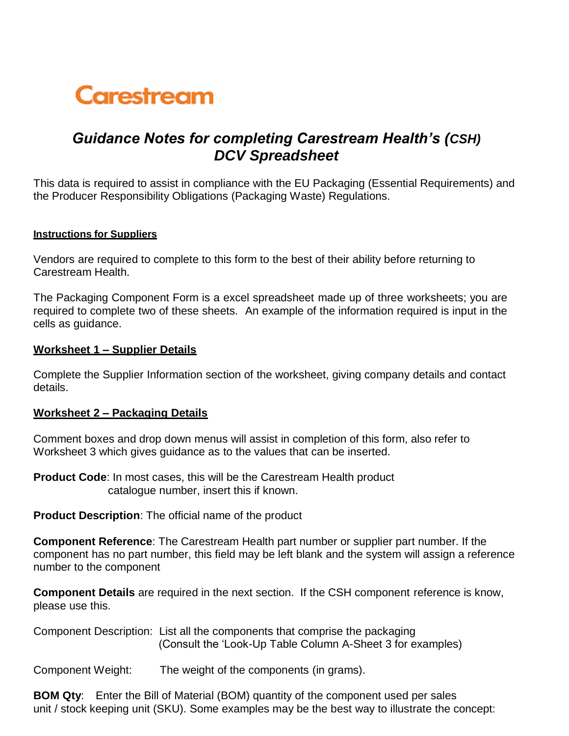# Carestream

# *Guidance Notes for completing Carestream Health's (CSH) DCV Spreadsheet*

This data is required to assist in compliance with the EU Packaging (Essential Requirements) and the Producer Responsibility Obligations (Packaging Waste) Regulations.

#### **Instructions for Suppliers**

Vendors are required to complete to this form to the best of their ability before returning to Carestream Health.

The Packaging Component Form is a excel spreadsheet made up of three worksheets; you are required to complete two of these sheets. An example of the information required is input in the cells as guidance.

## **Worksheet 1 – Supplier Details**

Complete the Supplier Information section of the worksheet, giving company details and contact details.

# **Worksheet 2 – Packaging Details**

Comment boxes and drop down menus will assist in completion of this form, also refer to Worksheet 3 which gives guidance as to the values that can be inserted.

**Product Code**: In most cases, this will be the Carestream Health product catalogue number, insert this if known.

**Product Description**: The official name of the product

**Component Reference**: The Carestream Health part number or supplier part number. If the component has no part number, this field may be left blank and the system will assign a reference number to the component

**Component Details** are required in the next section. If the CSH component reference is know, please use this.

Component Description: List all the components that comprise the packaging (Consult the 'Look-Up Table Column A-Sheet 3 for examples)

Component Weight: The weight of the components (in grams).

**BOM Qty**: Enter the Bill of Material (BOM) quantity of the component used per sales unit / stock keeping unit (SKU). Some examples may be the best way to illustrate the concept: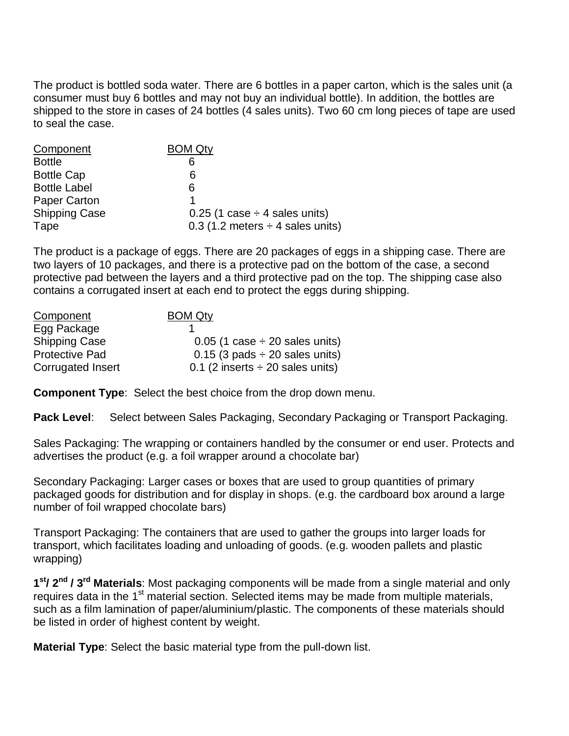The product is bottled soda water. There are 6 bottles in a paper carton, which is the sales unit (a consumer must buy 6 bottles and may not buy an individual bottle). In addition, the bottles are shipped to the store in cases of 24 bottles (4 sales units). Two 60 cm long pieces of tape are used to seal the case.

| Component            | <b>BOM Qty</b>                          |
|----------------------|-----------------------------------------|
| <b>Bottle</b>        | 6                                       |
| <b>Bottle Cap</b>    | 6                                       |
| <b>Bottle Label</b>  | 6                                       |
| Paper Carton         |                                         |
| <b>Shipping Case</b> | $0.25$ (1 case $\div$ 4 sales units)    |
| Tape                 | $0.3$ (1.2 meters $\div$ 4 sales units) |

The product is a package of eggs. There are 20 packages of eggs in a shipping case. There are two layers of 10 packages, and there is a protective pad on the bottom of the case, a second protective pad between the layers and a third protective pad on the top. The shipping case also contains a corrugated insert at each end to protect the eggs during shipping.

| <b>Component</b>      | <b>BOM Qty</b>                        |
|-----------------------|---------------------------------------|
| Egg Package           |                                       |
| <b>Shipping Case</b>  | $0.05$ (1 case $\div$ 20 sales units) |
| <b>Protective Pad</b> | $0.15$ (3 pads $\div$ 20 sales units) |
| Corrugated Insert     | 0.1 (2 inserts $\div$ 20 sales units) |

**Component Type**: Select the best choice from the drop down menu.

Pack Level: Select between Sales Packaging, Secondary Packaging or Transport Packaging.

Sales Packaging: The wrapping or containers handled by the consumer or end user. Protects and advertises the product (e.g. a foil wrapper around a chocolate bar)

Secondary Packaging: Larger cases or boxes that are used to group quantities of primary packaged goods for distribution and for display in shops. (e.g. the cardboard box around a large number of foil wrapped chocolate bars)

Transport Packaging: The containers that are used to gather the groups into larger loads for transport, which facilitates loading and unloading of goods. (e.g. wooden pallets and plastic wrapping)

**1 st/ 2nd / 3 rd Materials**: Most packaging components will be made from a single material and only requires data in the 1<sup>st</sup> material section. Selected items may be made from multiple materials, such as a film lamination of paper/aluminium/plastic. The components of these materials should be listed in order of highest content by weight.

**Material Type**: Select the basic material type from the pull-down list.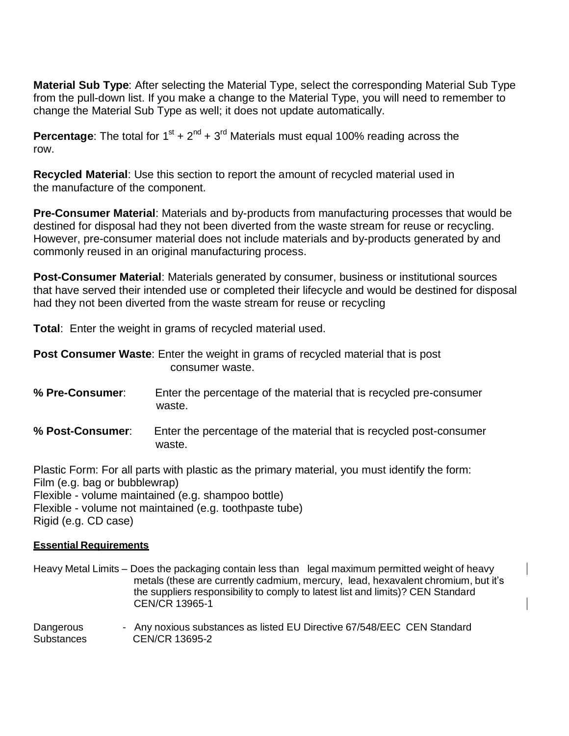**Material Sub Type**: After selecting the Material Type, select the corresponding Material Sub Type from the pull-down list. If you make a change to the Material Type, you will need to remember to change the Material Sub Type as well; it does not update automatically.

**Percentage**: The total for  $1<sup>st</sup> + 2<sup>nd</sup> + 3<sup>rd</sup>$  Materials must equal 100% reading across the row.

**Recycled Material**: Use this section to report the amount of recycled material used in the manufacture of the component.

**Pre-Consumer Material**: Materials and by-products from manufacturing processes that would be destined for disposal had they not been diverted from the waste stream for reuse or recycling. However, pre-consumer material does not include materials and by-products generated by and commonly reused in an original manufacturing process.

**Post-Consumer Material**: Materials generated by consumer, business or institutional sources that have served their intended use or completed their lifecycle and would be destined for disposal had they not been diverted from the waste stream for reuse or recycling

**Total**: Enter the weight in grams of recycled material used.

| <b>Post Consumer Waste:</b> Enter the weight in grams of recycled material that is post |  |  |
|-----------------------------------------------------------------------------------------|--|--|
| consumer waste.                                                                         |  |  |

- **% Pre-Consumer**: Enter the percentage of the material that is recycled pre-consumer waste.
- **% Post-Consumer**: Enter the percentage of the material that is recycled post-consumer waste.

Plastic Form: For all parts with plastic as the primary material, you must identify the form: Film (e.g. bag or bubblewrap) Flexible - volume maintained (e.g. shampoo bottle) Flexible - volume not maintained (e.g. toothpaste tube) Rigid (e.g. CD case)

#### **Essential Requirements**

Heavy Metal Limits – Does the packaging contain less than legal maximum permitted weight of heavy metals (these are currently cadmium, mercury, lead, hexavalent chromium, but it's the suppliers responsibility to comply to latest list and limits)? CEN Standard CEN/CR 13965-1

Dangerous - Any noxious substances as listed EU Directive 67/548/EEC CEN Standard Substances CEN/CR 13695-2